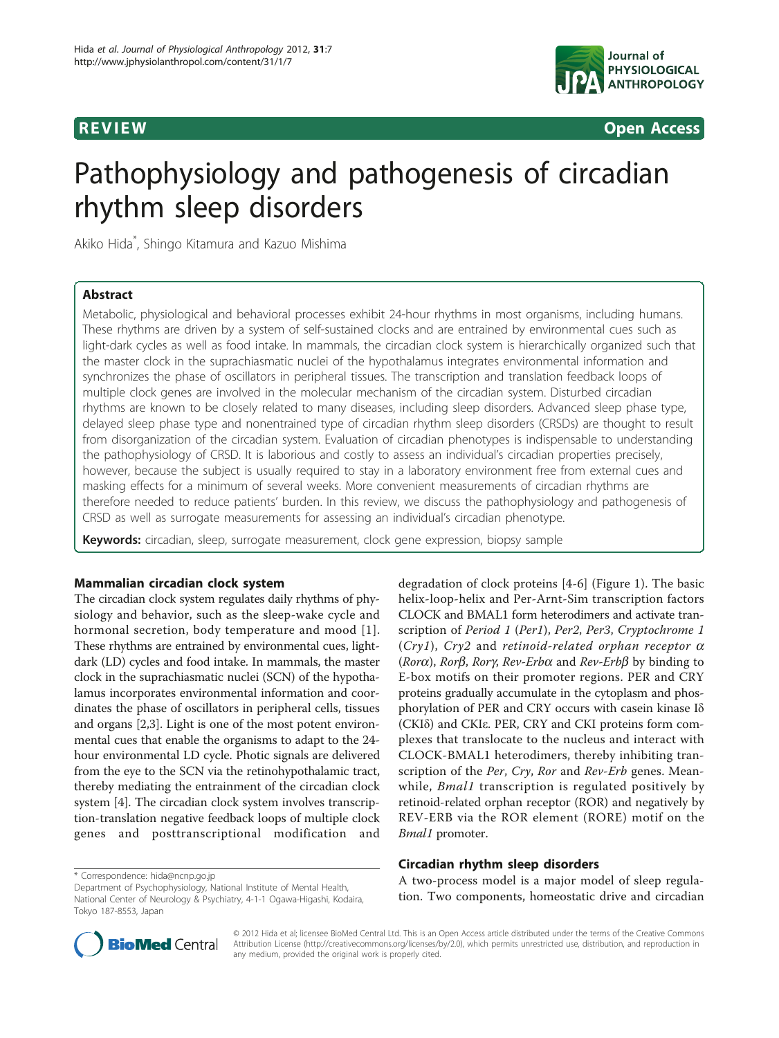

**REVIEW CONSIDERING CONSIDERING CONSIDERING CONSIDERING CONSIDERING CONSIDERING CONSIDERING CONSIDERING CONSIDERING CONSIDERING CONSIDERING CONSIDERING CONSIDERING CONSIDERING CONSIDERING CONSIDERING CONSIDERING CONSIDER** 

# Pathophysiology and pathogenesis of circadian rhythm sleep disorders

Akiko Hida\* , Shingo Kitamura and Kazuo Mishima

# Abstract

Metabolic, physiological and behavioral processes exhibit 24-hour rhythms in most organisms, including humans. These rhythms are driven by a system of self-sustained clocks and are entrained by environmental cues such as light-dark cycles as well as food intake. In mammals, the circadian clock system is hierarchically organized such that the master clock in the suprachiasmatic nuclei of the hypothalamus integrates environmental information and synchronizes the phase of oscillators in peripheral tissues. The transcription and translation feedback loops of multiple clock genes are involved in the molecular mechanism of the circadian system. Disturbed circadian rhythms are known to be closely related to many diseases, including sleep disorders. Advanced sleep phase type, delayed sleep phase type and nonentrained type of circadian rhythm sleep disorders (CRSDs) are thought to result from disorganization of the circadian system. Evaluation of circadian phenotypes is indispensable to understanding the pathophysiology of CRSD. It is laborious and costly to assess an individual's circadian properties precisely, however, because the subject is usually required to stay in a laboratory environment free from external cues and masking effects for a minimum of several weeks. More convenient measurements of circadian rhythms are therefore needed to reduce patients' burden. In this review, we discuss the pathophysiology and pathogenesis of CRSD as well as surrogate measurements for assessing an individual's circadian phenotype.

Keywords: circadian, sleep, surrogate measurement, clock gene expression, biopsy sample

### Mammalian circadian clock system

The circadian clock system regulates daily rhythms of physiology and behavior, such as the sleep-wake cycle and hormonal secretion, body temperature and mood [[1\]](#page-4-0). These rhythms are entrained by environmental cues, lightdark (LD) cycles and food intake. In mammals, the master clock in the suprachiasmatic nuclei (SCN) of the hypothalamus incorporates environmental information and coordinates the phase of oscillators in peripheral cells, tissues and organs [\[2,3](#page-4-0)]. Light is one of the most potent environmental cues that enable the organisms to adapt to the 24 hour environmental LD cycle. Photic signals are delivered from the eye to the SCN via the retinohypothalamic tract, thereby mediating the entrainment of the circadian clock system [\[4\]](#page-4-0). The circadian clock system involves transcription-translation negative feedback loops of multiple clock genes and posttranscriptional modification and

\* Correspondence: [hida@ncnp.go.jp](mailto:hida@ncnp.go.jp)

degradation of clock proteins [[4-6](#page-4-0)] (Figure [1](#page-1-0)). The basic helix-loop-helix and Per-Arnt-Sim transcription factors CLOCK and BMAL1 form heterodimers and activate transcription of Period 1 (Per1), Per2, Per3, Cryptochrome 1  $(Cry1)$ ,  $Cry2$  and retinoid-related orphan receptor  $\alpha$ (Ror $\alpha$ ), Ror $\beta$ , Rory, Rev-Erb $\alpha$  and Rev-Erb $\beta$  by binding to E-box motifs on their promoter regions. PER and CRY proteins gradually accumulate in the cytoplasm and phosphorylation of PER and CRY occurs with casein kinase Iδ (CKIδ) and CKIε. PER, CRY and CKI proteins form complexes that translocate to the nucleus and interact with CLOCK-BMAL1 heterodimers, thereby inhibiting transcription of the Per, Cry, Ror and Rev-Erb genes. Meanwhile, Bmal1 transcription is regulated positively by retinoid-related orphan receptor (ROR) and negatively by REV-ERB via the ROR element (RORE) motif on the Bmal1 promoter.

#### Circadian rhythm sleep disorders

A two-process model is a major model of sleep regulation. Two components, homeostatic drive and circadian



© 2012 Hida et al; licensee BioMed Central Ltd. This is an Open Access article distributed under the terms of the Creative Commons Attribution License [\(http://creativecommons.org/licenses/by/2.0](http://creativecommons.org/licenses/by/2.0)), which permits unrestricted use, distribution, and reproduction in any medium, provided the original work is properly cited.

Department of Psychophysiology, National Institute of Mental Health, National Center of Neurology & Psychiatry, 4-1-1 Ogawa-Higashi, Kodaira, Tokyo 187-8553, Japan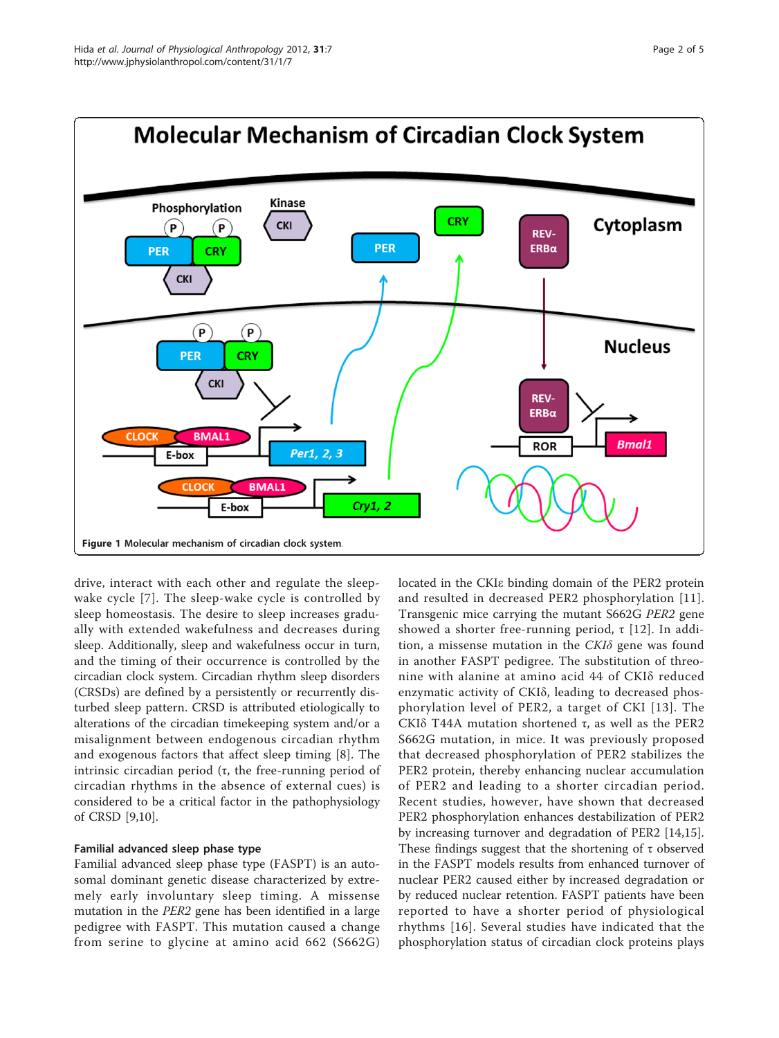<span id="page-1-0"></span>

drive, interact with each other and regulate the sleepwake cycle [[7\]](#page-4-0). The sleep-wake cycle is controlled by sleep homeostasis. The desire to sleep increases gradually with extended wakefulness and decreases during sleep. Additionally, sleep and wakefulness occur in turn, and the timing of their occurrence is controlled by the circadian clock system. Circadian rhythm sleep disorders (CRSDs) are defined by a persistently or recurrently disturbed sleep pattern. CRSD is attributed etiologically to alterations of the circadian timekeeping system and/or a misalignment between endogenous circadian rhythm and exogenous factors that affect sleep timing [[8](#page-4-0)]. The intrinsic circadian period  $(τ, the free-running period of)$ circadian rhythms in the absence of external cues) is considered to be a critical factor in the pathophysiology of CRSD [\[9,10\]](#page-4-0).

# Familial advanced sleep phase type

Familial advanced sleep phase type (FASPT) is an autosomal dominant genetic disease characterized by extremely early involuntary sleep timing. A missense mutation in the PER2 gene has been identified in a large pedigree with FASPT. This mutation caused a change from serine to glycine at amino acid 662 (S662G) located in the CKIε binding domain of the PER2 protein and resulted in decreased PER2 phosphorylation [[11](#page-4-0)]. Transgenic mice carrying the mutant S662G PER2 gene showed a shorter free-running period,  $\tau$  [[12\]](#page-4-0). In addition, a missense mutation in the  $CKI\delta$  gene was found in another FASPT pedigree. The substitution of threonine with alanine at amino acid 44 of CKIδ reduced enzymatic activity of CKIδ, leading to decreased phosphorylation level of PER2, a target of CKI [[13\]](#page-4-0). The CKIδ T44A mutation shortened τ, as well as the PER2 S662G mutation, in mice. It was previously proposed that decreased phosphorylation of PER2 stabilizes the PER2 protein, thereby enhancing nuclear accumulation of PER2 and leading to a shorter circadian period. Recent studies, however, have shown that decreased PER2 phosphorylation enhances destabilization of PER2 by increasing turnover and degradation of PER2 [\[14,15](#page-4-0)]. These findings suggest that the shortening of τ observed in the FASPT models results from enhanced turnover of nuclear PER2 caused either by increased degradation or by reduced nuclear retention. FASPT patients have been reported to have a shorter period of physiological rhythms [[16](#page-4-0)]. Several studies have indicated that the phosphorylation status of circadian clock proteins plays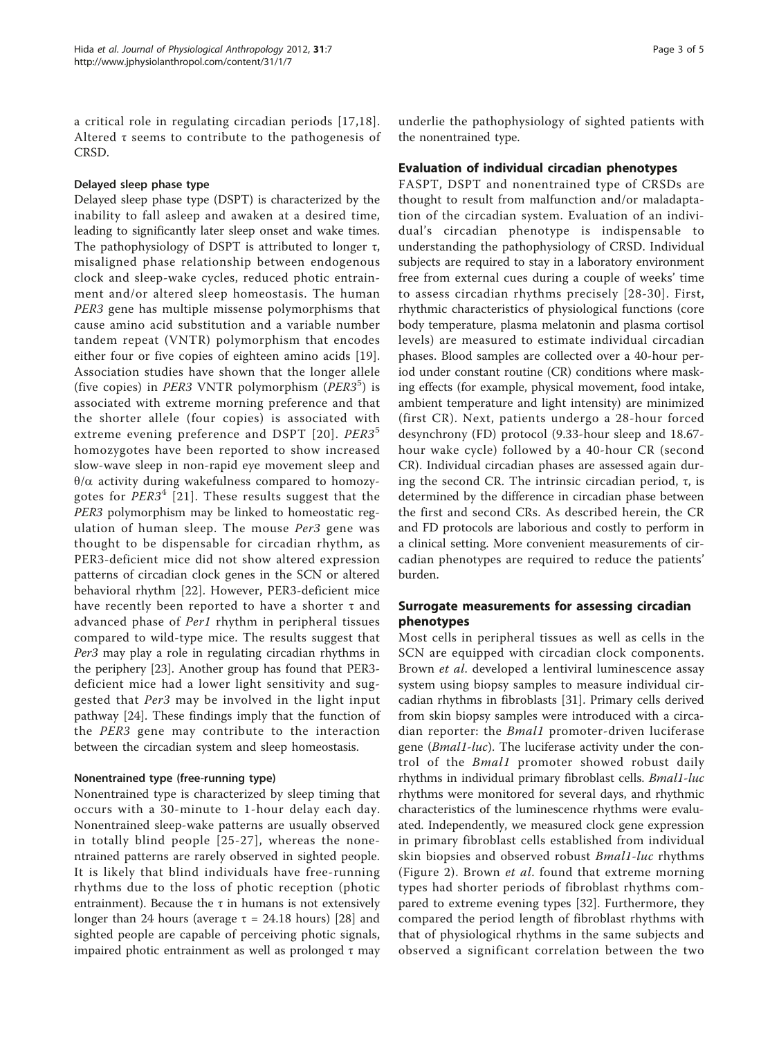a critical role in regulating circadian periods [[17](#page-4-0),[18\]](#page-4-0). Altered  $\tau$  seems to contribute to the pathogenesis of CRSD.

#### Delayed sleep phase type

Delayed sleep phase type (DSPT) is characterized by the inability to fall asleep and awaken at a desired time, leading to significantly later sleep onset and wake times. The pathophysiology of DSPT is attributed to longer τ, misaligned phase relationship between endogenous clock and sleep-wake cycles, reduced photic entrainment and/or altered sleep homeostasis. The human PER3 gene has multiple missense polymorphisms that cause amino acid substitution and a variable number tandem repeat (VNTR) polymorphism that encodes either four or five copies of eighteen amino acids [[19](#page-4-0)]. Association studies have shown that the longer allele (five copies) in PER3 VNTR polymorphism  $(PER3^5)$  is associated with extreme morning preference and that the shorter allele (four copies) is associated with extreme evening preference and DSPT [[20\]](#page-4-0). PER3<sup>5</sup> homozygotes have been reported to show increased slow-wave sleep in non-rapid eye movement sleep and  $\theta/\alpha$  activity during wakefulness compared to homozygotes for  $PER3<sup>4</sup>$  [[21\]](#page-4-0). These results suggest that the PER3 polymorphism may be linked to homeostatic regulation of human sleep. The mouse Per3 gene was thought to be dispensable for circadian rhythm, as PER3-deficient mice did not show altered expression patterns of circadian clock genes in the SCN or altered behavioral rhythm [[22\]](#page-4-0). However, PER3-deficient mice have recently been reported to have a shorter τ and advanced phase of Per1 rhythm in peripheral tissues compared to wild-type mice. The results suggest that Per3 may play a role in regulating circadian rhythms in the periphery [\[23\]](#page-4-0). Another group has found that PER3 deficient mice had a lower light sensitivity and suggested that Per3 may be involved in the light input pathway [[24](#page-4-0)]. These findings imply that the function of the PER3 gene may contribute to the interaction between the circadian system and sleep homeostasis.

### Nonentrained type (free-running type)

Nonentrained type is characterized by sleep timing that occurs with a 30-minute to 1-hour delay each day. Nonentrained sleep-wake patterns are usually observed in totally blind people [[25-27\]](#page-4-0), whereas the nonentrained patterns are rarely observed in sighted people. It is likely that blind individuals have free-running rhythms due to the loss of photic reception (photic entrainment). Because the  $\tau$  in humans is not extensively longer than 24 hours (average  $\tau = 24.18$  hours) [\[28\]](#page-4-0) and sighted people are capable of perceiving photic signals, impaired photic entrainment as well as prolonged  $τ$  may underlie the pathophysiology of sighted patients with the nonentrained type.

#### Evaluation of individual circadian phenotypes

FASPT, DSPT and nonentrained type of CRSDs are thought to result from malfunction and/or maladaptation of the circadian system. Evaluation of an individual's circadian phenotype is indispensable to understanding the pathophysiology of CRSD. Individual subjects are required to stay in a laboratory environment free from external cues during a couple of weeks' time to assess circadian rhythms precisely [[28](#page-4-0)-[30\]](#page-4-0). First, rhythmic characteristics of physiological functions (core body temperature, plasma melatonin and plasma cortisol levels) are measured to estimate individual circadian phases. Blood samples are collected over a 40-hour period under constant routine (CR) conditions where masking effects (for example, physical movement, food intake, ambient temperature and light intensity) are minimized (first CR). Next, patients undergo a 28-hour forced desynchrony (FD) protocol (9.33-hour sleep and 18.67 hour wake cycle) followed by a 40-hour CR (second CR). Individual circadian phases are assessed again during the second CR. The intrinsic circadian period, τ, is determined by the difference in circadian phase between the first and second CRs. As described herein, the CR and FD protocols are laborious and costly to perform in a clinical setting. More convenient measurements of circadian phenotypes are required to reduce the patients' burden.

## Surrogate measurements for assessing circadian phenotypes

Most cells in peripheral tissues as well as cells in the SCN are equipped with circadian clock components. Brown *et al.* developed a lentiviral luminescence assay system using biopsy samples to measure individual circadian rhythms in fibroblasts [[31](#page-4-0)]. Primary cells derived from skin biopsy samples were introduced with a circadian reporter: the *Bmal1* promoter-driven luciferase gene (*Bmal1-luc*). The luciferase activity under the control of the Bmal1 promoter showed robust daily rhythms in individual primary fibroblast cells. Bmal1-luc rhythms were monitored for several days, and rhythmic characteristics of the luminescence rhythms were evaluated. Independently, we measured clock gene expression in primary fibroblast cells established from individual skin biopsies and observed robust Bmal1-luc rhythms (Figure [2\)](#page-3-0). Brown et al. found that extreme morning types had shorter periods of fibroblast rhythms compared to extreme evening types [[32\]](#page-4-0). Furthermore, they compared the period length of fibroblast rhythms with that of physiological rhythms in the same subjects and observed a significant correlation between the two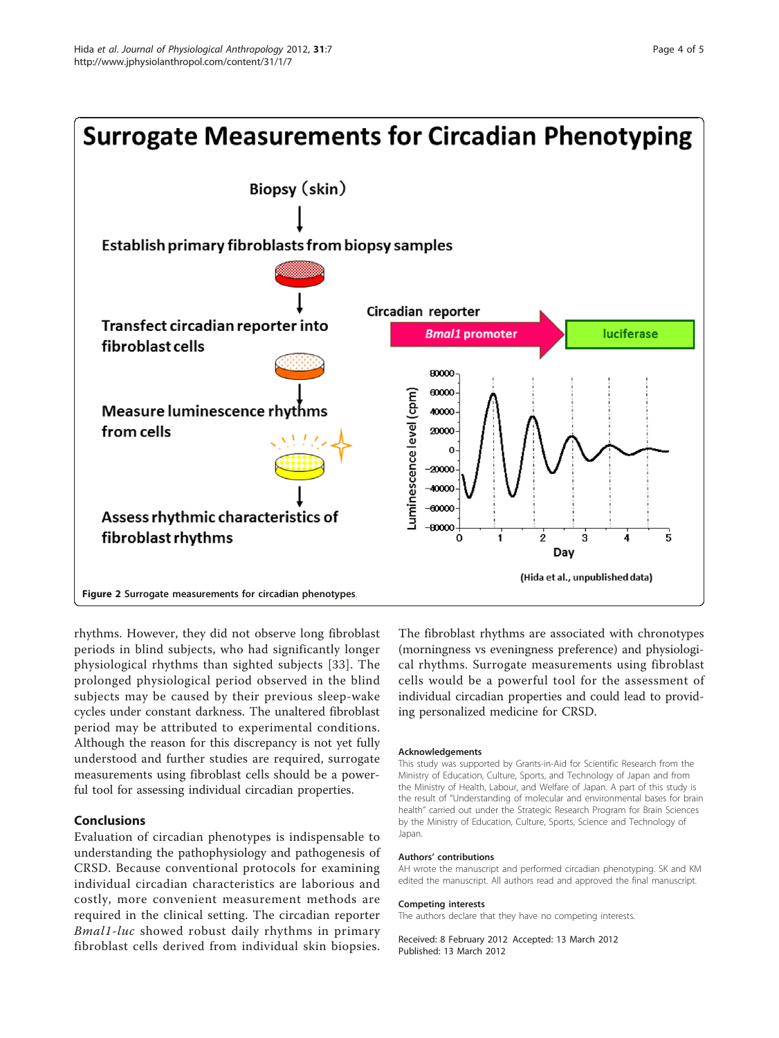<span id="page-3-0"></span>

rhythms. However, they did not observe long fibroblast periods in blind subjects, who had significantly longer physiological rhythms than sighted subjects [[33](#page-4-0)]. The prolonged physiological period observed in the blind subjects may be caused by their previous sleep-wake cycles under constant darkness. The unaltered fibroblast period may be attributed to experimental conditions. Although the reason for this discrepancy is not yet fully understood and further studies are required, surrogate measurements using fibroblast cells should be a powerful tool for assessing individual circadian properties.

#### Conclusions

Evaluation of circadian phenotypes is indispensable to understanding the pathophysiology and pathogenesis of CRSD. Because conventional protocols for examining individual circadian characteristics are laborious and costly, more convenient measurement methods are required in the clinical setting. The circadian reporter Bmal1-luc showed robust daily rhythms in primary fibroblast cells derived from individual skin biopsies.

The fibroblast rhythms are associated with chronotypes (morningness vs eveningness preference) and physiological rhythms. Surrogate measurements using fibroblast cells would be a powerful tool for the assessment of individual circadian properties and could lead to providing personalized medicine for CRSD.

#### Acknowledgements

This study was supported by Grants-in-Aid for Scientific Research from the Ministry of Education, Culture, Sports, and Technology of Japan and from the Ministry of Health, Labour, and Welfare of Japan. A part of this study is the result of "Understanding of molecular and environmental bases for brain health" carried out under the Strategic Research Program for Brain Sciences by the Ministry of Education, Culture, Sports, Science and Technology of Japan.

#### Authors' contributions

AH wrote the manuscript and performed circadian phenotyping. SK and KM edited the manuscript. All authors read and approved the final manuscript.

#### Competing interests

The authors declare that they have no competing interests.

Received: 8 February 2012 Accepted: 13 March 2012 Published: 13 March 2012